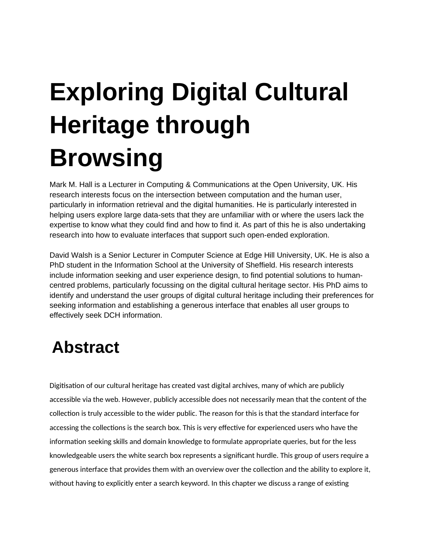# **Exploring Digital Cultural Heritage through Browsing**

Mark M. Hall is a Lecturer in Computing & Communications at the Open University, UK. His research interests focus on the intersection between computation and the human user, particularly in information retrieval and the digital humanities. He is particularly interested in helping users explore large data-sets that they are unfamiliar with or where the users lack the expertise to know what they could find and how to find it. As part of this he is also undertaking research into how to evaluate interfaces that support such open-ended exploration.

David Walsh is a Senior Lecturer in Computer Science at Edge Hill University, UK. He is also a PhD student in the Information School at the University of Sheffield. His research interests include information seeking and user experience design, to find potential solutions to humancentred problems, particularly focussing on the digital cultural heritage sector. His PhD aims to identify and understand the user groups of digital cultural heritage including their preferences for seeking information and establishing a generous interface that enables all user groups to effectively seek DCH information.

# **Abstract**

Digitisation of our cultural heritage has created vast digital archives, many of which are publicly accessible via the web. However, publicly accessible does not necessarily mean that the content of the collection is truly accessible to the wider public. The reason for this is that the standard interface for accessing the collections is the search box. This is very effective for experienced users who have the information seeking skills and domain knowledge to formulate appropriate queries, but for the less knowledgeable users the white search box represents a significant hurdle. This group of users require a generous interface that provides them with an overview over the collection and the ability to explore it, without having to explicitly enter a search keyword. In this chapter we discuss a range of existing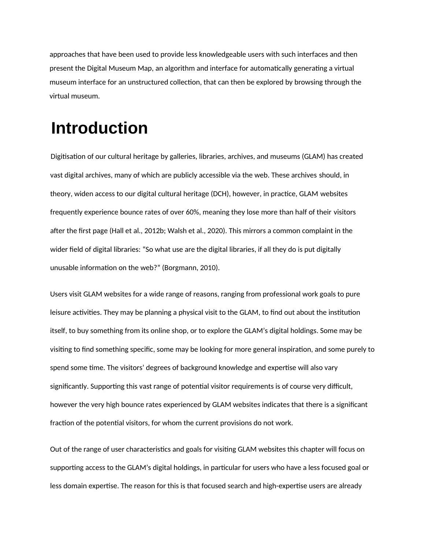approaches that have been used to provide less knowledgeable users with such interfaces and then present the Digital Museum Map, an algorithm and interface for automatically generating a virtual museum interface for an unstructured collection, that can then be explored by browsing through the virtual museum.

# **Introduction**

Digitisation of our cultural heritage by galleries, libraries, archives, and museums (GLAM) has created vast digital archives, many of which are publicly accessible via the web. These archives should, in theory, widen access to our digital cultural heritage (DCH), however, in practice, GLAM websites frequently experience bounce rates of over 60%, meaning they lose more than half of their visitors after the first page (Hall et al., 2012b; Walsh et al., 2020). This mirrors a common complaint in the wider field of digital libraries: "So what use are the digital libraries, if all they do is put digitally unusable information on the web?" (Borgmann, 2010).

Users visit GLAM websites for a wide range of reasons, ranging from professional work goals to pure leisure activities. They may be planning a physical visit to the GLAM, to find out about the institution itself, to buy something from its online shop, or to explore the GLAM's digital holdings. Some may be visiting to find something specific, some may be looking for more general inspiration, and some purely to spend some time. The visitors' degrees of background knowledge and expertise will also vary significantly. Supporting this vast range of potential visitor requirements is of course very difficult, however the very high bounce rates experienced by GLAM websites indicates that there is a significant fraction of the potential visitors, for whom the current provisions do not work.

Out of the range of user characteristics and goals for visiting GLAM websites this chapter will focus on supporting access to the GLAM's digital holdings, in particular for users who have a less focused goal or less domain expertise. The reason for this is that focused search and high-expertise users are already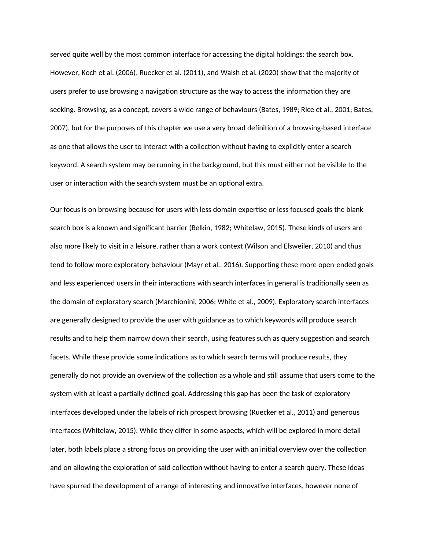served quite well by the most common interface for accessing the digital holdings: the search box. However, Koch et al. (2006), Ruecker et al. (2011), and Walsh et al. (2020) show that the majority of users prefer to use browsing a navigation structure as the way to access the information they are seeking. Browsing, as a concept, covers a wide range of behaviours (Bates, 1989; Rice et al., 2001; Bates, 2007), but for the purposes of this chapter we use a very broad definition of a browsing-based interface as one that allows the user to interact with a collection without having to explicitly enter a search keyword. A search system may be running in the background, but this must either not be visible to the user or interaction with the search system must be an optional extra.

Our focus is on browsing because for users with less domain expertise or less focused goals the blank search box is a known and significant barrier (Belkin, 1982; Whitelaw, 2015). These kinds of users are also more likely to visit in a leisure, rather than a work context (Wilson and Elsweiler, 2010) and thus tend to follow more exploratory behaviour (Mayr et al., 2016). Supporting these more open-ended goals and less experienced users in their interactions with search interfaces in general is traditionally seen as the domain of exploratory search (Marchionini, 2006; White et al., 2009). Exploratory search interfaces are generally designed to provide the user with guidance as to which keywords will produce search results and to help them narrow down their search, using features such as query suggestion and search facets. While these provide some indications as to which search terms will produce results, they generally do not provide an overview of the collection as a whole and still assume that users come to the system with at least a partially defined goal. Addressing this gap has been the task of exploratory interfaces developed under the labels of rich prospect browsing (Ruecker et al., 2011) and generous interfaces (Whitelaw, 2015). While they differ in some aspects, which will be explored in more detail later, both labels place a strong focus on providing the user with an initial overview over the collection and on allowing the exploration of said collection without having to enter a search query. These ideas have spurred the development of a range of interesting and innovative interfaces, however none of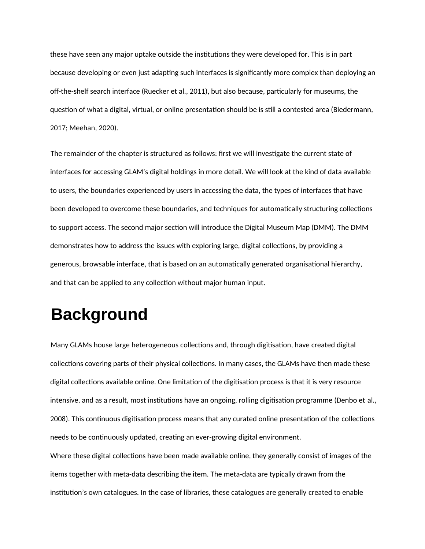these have seen any major uptake outside the institutions they were developed for. This is in part because developing or even just adapting such interfaces is significantly more complex than deploying an off-the-shelf search interface (Ruecker et al., 2011), but also because, particularly for museums, the question of what a digital, virtual, or online presentation should be is still a contested area (Biedermann, 2017; Meehan, 2020).

The remainder of the chapter is structured as follows: first we will investigate the current state of interfaces for accessing GLAM's digital holdings in more detail. We will look at the kind of data available to users, the boundaries experienced by users in accessing the data, the types of interfaces that have been developed to overcome these boundaries, and techniques for automatically structuring collections to support access. The second major section will introduce the Digital Museum Map (DMM). The DMM demonstrates how to address the issues with exploring large, digital collections, by providing a generous, browsable interface, that is based on an automatically generated organisational hierarchy, and that can be applied to any collection without major human input.

# **Background**

Many GLAMs house large heterogeneous collections and, through digitisation, have created digital collections covering parts of their physical collections. In many cases, the GLAMs have then made these digital collections available online. One limitation of the digitisation process is that it is very resource intensive, and as a result, most institutions have an ongoing, rolling digitisation programme (Denbo et al., 2008). This continuous digitisation process means that any curated online presentation of the collections needs to be continuously updated, creating an ever-growing digital environment. Where these digital collections have been made available online, they generally consist of images of the items together with meta-data describing the item. The meta-data are typically drawn from the institution's own catalogues. In the case of libraries, these catalogues are generally created to enable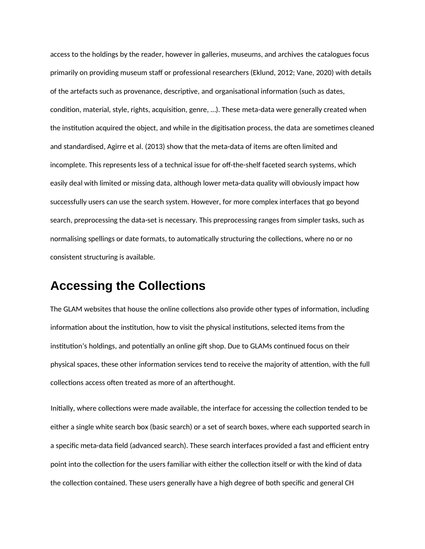access to the holdings by the reader, however in galleries, museums, and archives the catalogues focus primarily on providing museum staff or professional researchers (Eklund, 2012; Vane, 2020) with details of the artefacts such as provenance, descriptive, and organisational information (such as dates, condition, material, style, rights, acquisition, genre, …). These meta-data were generally created when the institution acquired the object, and while in the digitisation process, the data are sometimes cleaned and standardised, Agirre et al. (2013) show that the meta-data of items are often limited and incomplete. This represents less of a technical issue for off-the-shelf faceted search systems, which easily deal with limited or missing data, although lower meta-data quality will obviously impact how successfully users can use the search system. However, for more complex interfaces that go beyond search, preprocessing the data-set is necessary. This preprocessing ranges from simpler tasks, such as normalising spellings or date formats, to automatically structuring the collections, where no or no consistent structuring is available.

### **Accessing the Collections**

The GLAM websites that house the online collections also provide other types of information, including information about the institution, how to visit the physical institutions, selected items from the institution's holdings, and potentially an online gift shop. Due to GLAMs continued focus on their physical spaces, these other information services tend to receive the majority of attention, with the full collections access often treated as more of an afterthought.

Initially, where collections were made available, the interface for accessing the collection tended to be either a single white search box (basic search) or a set of search boxes, where each supported search in a specific meta-data field (advanced search). These search interfaces provided a fast and efficient entry point into the collection for the users familiar with either the collection itself or with the kind of data the collection contained. These users generally have a high degree of both specific and general CH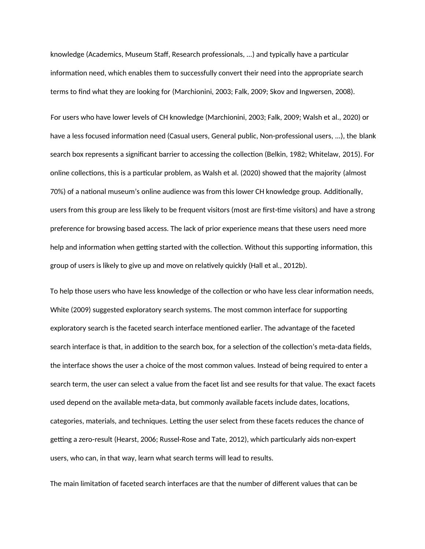knowledge (Academics, Museum Staff, Research professionals, ...) and typically have a particular information need, which enables them to successfully convert their need into the appropriate search terms to find what they are looking for (Marchionini, 2003; Falk, 2009; Skov and Ingwersen, 2008).

For users who have lower levels of CH knowledge (Marchionini, 2003; Falk, 2009; Walsh et al., 2020) or have a less focused information need (Casual users, General public, Non-professional users, ...), the blank search box represents a significant barrier to accessing the collection (Belkin, 1982; Whitelaw, 2015). For online collections, this is a particular problem, as Walsh et al. (2020) showed that the majority (almost 70%) of a national museum's online audience was from this lower CH knowledge group. Additionally, users from this group are less likely to be frequent visitors (most are first-time visitors) and have a strong preference for browsing based access. The lack of prior experience means that these users need more help and information when getting started with the collection. Without this supporting information, this group of users is likely to give up and move on relatively quickly (Hall et al., 2012b).

To help those users who have less knowledge of the collection or who have less clear information needs, White (2009) suggested exploratory search systems. The most common interface for supporting exploratory search is the faceted search interface mentioned earlier. The advantage of the faceted search interface is that, in addition to the search box, for a selection of the collection's meta-data fields, the interface shows the user a choice of the most common values. Instead of being required to enter a search term, the user can select a value from the facet list and see results for that value. The exact facets used depend on the available meta-data, but commonly available facets include dates, locations, categories, materials, and techniques. Letting the user select from these facets reduces the chance of getting a zero-result (Hearst, 2006; Russel-Rose and Tate, 2012), which particularly aids non-expert users, who can, in that way, learn what search terms will lead to results.

The main limitation of faceted search interfaces are that the number of different values that can be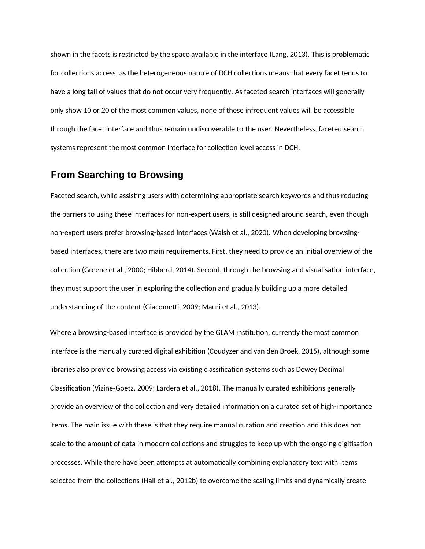shown in the facets is restricted by the space available in the interface (Lang, 2013). This is problematic for collections access, as the heterogeneous nature of DCH collections means that every facet tends to have a long tail of values that do not occur very frequently. As faceted search interfaces will generally only show 10 or 20 of the most common values, none of these infrequent values will be accessible through the facet interface and thus remain undiscoverable to the user. Nevertheless, faceted search systems represent the most common interface for collection level access in DCH.

### **From Searching to Browsing**

Faceted search, while assisting users with determining appropriate search keywords and thus reducing the barriers to using these interfaces for non-expert users, is still designed around search, even though non-expert users prefer browsing-based interfaces (Walsh et al., 2020). When developing browsingbased interfaces, there are two main requirements. First, they need to provide an initial overview of the collection (Greene et al., 2000; Hibberd, 2014). Second, through the browsing and visualisation interface, they must support the user in exploring the collection and gradually building up a more detailed understanding of the content (Giacometti, 2009; Mauri et al., 2013).

Where a browsing-based interface is provided by the GLAM institution, currently the most common interface is the manually curated digital exhibition (Coudyzer and van den Broek, 2015), although some libraries also provide browsing access via existing classification systems such as Dewey Decimal Classification (Vizine-Goetz, 2009; Lardera et al., 2018). The manually curated exhibitions generally provide an overview of the collection and very detailed information on a curated set of high-importance items. The main issue with these is that they require manual curation and creation and this does not scale to the amount of data in modern collections and struggles to keep up with the ongoing digitisation processes. While there have been attempts at automatically combining explanatory text with items selected from the collections (Hall et al., 2012b) to overcome the scaling limits and dynamically create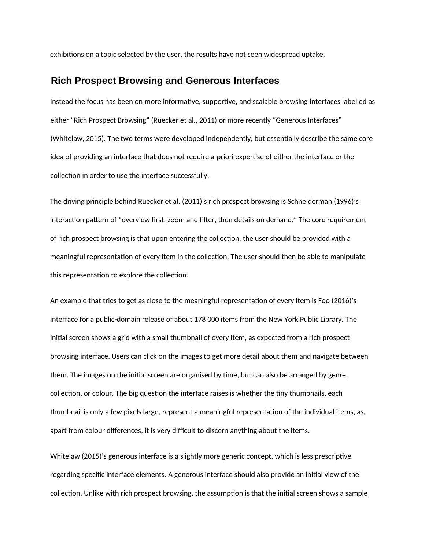exhibitions on a topic selected by the user, the results have not seen widespread uptake.

### **Rich Prospect Browsing and Generous Interfaces**

Instead the focus has been on more informative, supportive, and scalable browsing interfaces labelled as either "Rich Prospect Browsing" (Ruecker et al., 2011) or more recently "Generous Interfaces" (Whitelaw, 2015). The two terms were developed independently, but essentially describe the same core idea of providing an interface that does not require a-priori expertise of either the interface or the collection in order to use the interface successfully.

The driving principle behind Ruecker et al. (2011)'s rich prospect browsing is Schneiderman (1996)'s interaction pattern of "overview first, zoom and filter, then details on demand." The core requirement of rich prospect browsing is that upon entering the collection, the user should be provided with a meaningful representation of every item in the collection. The user should then be able to manipulate this representation to explore the collection.

An example that tries to get as close to the meaningful representation of every item is Foo (2016)'s interface for a public-domain release of about 178 000 items from the New York Public Library. The initial screen shows a grid with a small thumbnail of every item, as expected from a rich prospect browsing interface. Users can click on the images to get more detail about them and navigate between them. The images on the initial screen are organised by time, but can also be arranged by genre, collection, or colour. The big question the interface raises is whether the tiny thumbnails, each thumbnail is only a few pixels large, represent a meaningful representation of the individual items, as, apart from colour differences, it is very difficult to discern anything about the items.

Whitelaw (2015)'s generous interface is a slightly more generic concept, which is less prescriptive regarding specific interface elements. A generous interface should also provide an initial view of the collection. Unlike with rich prospect browsing, the assumption is that the initial screen shows a sample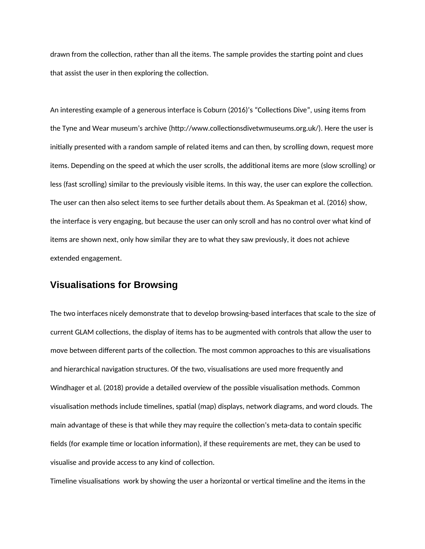drawn from the collection, rather than all the items. The sample provides the starting point and clues that assist the user in then exploring the collection.

An interesting example of a generous interface is Coburn (2016)'s "Collections Dive", using items from the Tyne and Wear museum's archive (http://www.collectionsdivetwmuseums.org.uk/). Here the user is initially presented with a random sample of related items and can then, by scrolling down, request more items. Depending on the speed at which the user scrolls, the additional items are more (slow scrolling) or less (fast scrolling) similar to the previously visible items. In this way, the user can explore the collection. The user can then also select items to see further details about them. As Speakman et al. (2016) show, the interface is very engaging, but because the user can only scroll and has no control over what kind of items are shown next, only how similar they are to what they saw previously, it does not achieve extended engagement.

### **Visualisations for Browsing**

The two interfaces nicely demonstrate that to develop browsing-based interfaces that scale to the size of current GLAM collections, the display of items has to be augmented with controls that allow the user to move between different parts of the collection. The most common approaches to this are visualisations and hierarchical navigation structures. Of the two, visualisations are used more frequently and Windhager et al. (2018) provide a detailed overview of the possible visualisation methods. Common visualisation methods include timelines, spatial (map) displays, network diagrams, and word clouds. The main advantage of these is that while they may require the collection's meta-data to contain specific fields (for example time or location information), if these requirements are met, they can be used to visualise and provide access to any kind of collection.

Timeline visualisations work by showing the user a horizontal or vertical timeline and the items in the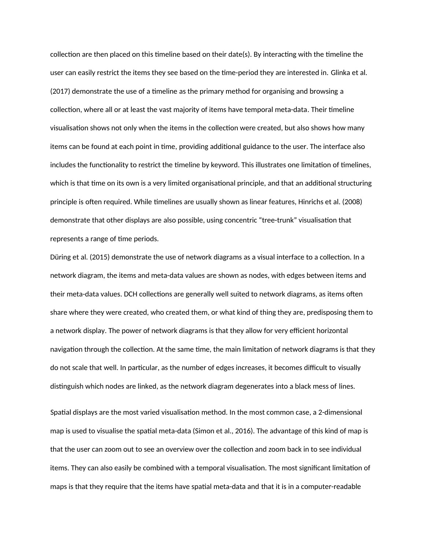collection are then placed on this timeline based on their date(s). By interacting with the timeline the user can easily restrict the items they see based on the time-period they are interested in. Glinka et al. (2017) demonstrate the use of a timeline as the primary method for organising and browsing a collection, where all or at least the vast majority of items have temporal meta-data. Their timeline visualisation shows not only when the items in the collection were created, but also shows how many items can be found at each point in time, providing additional guidance to the user. The interface also includes the functionality to restrict the timeline by keyword. This illustrates one limitation of timelines, which is that time on its own is a very limited organisational principle, and that an additional structuring principle is often required. While timelines are usually shown as linear features, Hinrichs et al. (2008) demonstrate that other displays are also possible, using concentric "tree-trunk" visualisation that represents a range of time periods.

Düring et al. (2015) demonstrate the use of network diagrams as a visual interface to a collection. In a network diagram, the items and meta-data values are shown as nodes, with edges between items and their meta-data values. DCH collections are generally well suited to network diagrams, as items often share where they were created, who created them, or what kind of thing they are, predisposing them to a network display. The power of network diagrams is that they allow for very efficient horizontal navigation through the collection. At the same time, the main limitation of network diagrams is that they do not scale that well. In particular, as the number of edges increases, it becomes difficult to visually distinguish which nodes are linked, as the network diagram degenerates into a black mess of lines.

Spatial displays are the most varied visualisation method. In the most common case, a 2-dimensional map is used to visualise the spatial meta-data (Simon et al., 2016). The advantage of this kind of map is that the user can zoom out to see an overview over the collection and zoom back in to see individual items. They can also easily be combined with a temporal visualisation. The most significant limitation of maps is that they require that the items have spatial meta-data and that it is in a computer-readable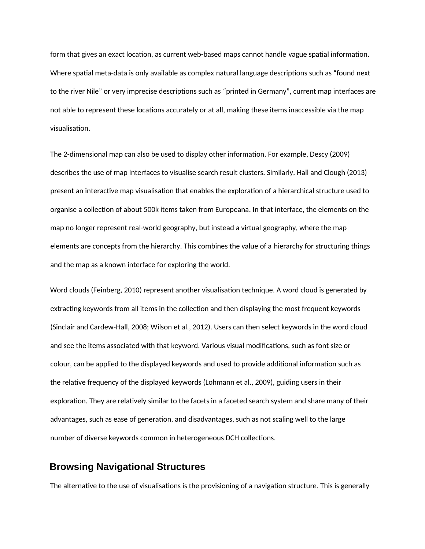form that gives an exact location, as current web-based maps cannot handle vague spatial information. Where spatial meta-data is only available as complex natural language descriptions such as "found next to the river Nile" or very imprecise descriptions such as "printed in Germany", current map interfaces are not able to represent these locations accurately or at all, making these items inaccessible via the map visualisation.

The 2-dimensional map can also be used to display other information. For example, Descy (2009) describes the use of map interfaces to visualise search result clusters. Similarly, Hall and Clough (2013) present an interactive map visualisation that enables the exploration of a hierarchical structure used to organise a collection of about 500k items taken from Europeana. In that interface, the elements on the map no longer represent real-world geography, but instead a virtual geography, where the map elements are concepts from the hierarchy. This combines the value of a hierarchy for structuring things and the map as a known interface for exploring the world.

Word clouds (Feinberg, 2010) represent another visualisation technique. A word cloud is generated by extracting keywords from all items in the collection and then displaying the most frequent keywords (Sinclair and Cardew-Hall, 2008; Wilson et al., 2012). Users can then select keywords in the word cloud and see the items associated with that keyword. Various visual modifications, such as font size or colour, can be applied to the displayed keywords and used to provide additional information such as the relative frequency of the displayed keywords (Lohmann et al., 2009), guiding users in their exploration. They are relatively similar to the facets in a faceted search system and share many of their advantages, such as ease of generation, and disadvantages, such as not scaling well to the large number of diverse keywords common in heterogeneous DCH collections.

### **Browsing Navigational Structures**

The alternative to the use of visualisations is the provisioning of a navigation structure. This is generally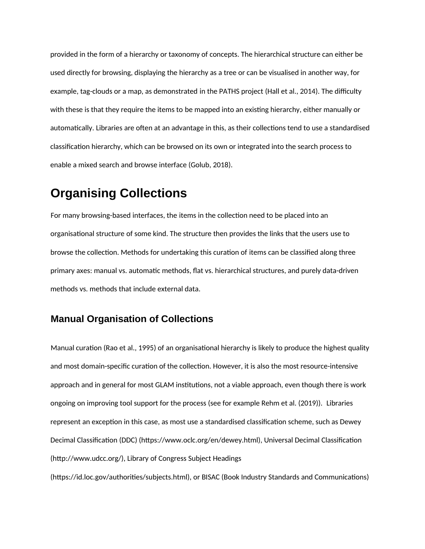provided in the form of a hierarchy or taxonomy of concepts. The hierarchical structure can either be used directly for browsing, displaying the hierarchy as a tree or can be visualised in another way, for example, tag-clouds or a map, as demonstrated in the PATHS project (Hall et al., 2014). The difficulty with these is that they require the items to be mapped into an existing hierarchy, either manually or automatically. Libraries are often at an advantage in this, as their collections tend to use a standardised classification hierarchy, which can be browsed on its own or integrated into the search process to enable a mixed search and browse interface (Golub, 2018).

### **Organising Collections**

For many browsing-based interfaces, the items in the collection need to be placed into an organisational structure of some kind. The structure then provides the links that the users use to browse the collection. Methods for undertaking this curation of items can be classified along three primary axes: manual vs. automatic methods, flat vs. hierarchical structures, and purely data-driven methods vs. methods that include external data.

### **Manual Organisation of Collections**

Manual curation (Rao et al., 1995) of an organisational hierarchy is likely to produce the highest quality and most domain-specific curation of the collection. However, it is also the most resource-intensive approach and in general for most GLAM institutions, not a viable approach, even though there is work ongoing on improving tool support for the process (see for example Rehm et al. (2019)). Libraries represent an exception in this case, as most use a standardised classification scheme, such as Dewey Decimal Classification (DDC) (https://www.oclc.org/en/dewey.html), Universal Decimal Classification (http://www.udcc.org/), Library of Congress Subject Headings

(https://id.loc.gov/authorities/subjects.html), or BISAC (Book Industry Standards and Communications)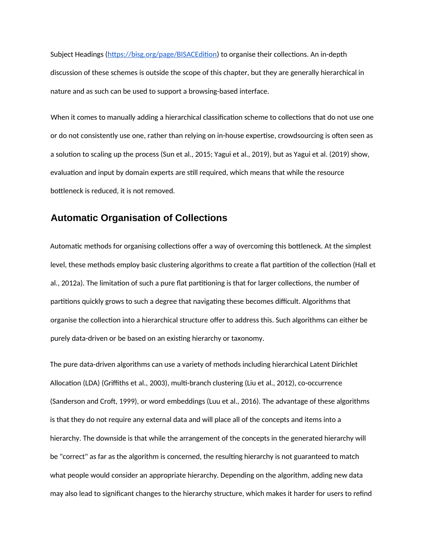Subject Headings (https://bisg.org/page/BISACEdition) to organise their collections. An in-depth discussion of these schemes is outside the scope of this chapter, but they are generally hierarchical in nature and as such can be used to support a browsing-based interface.

When it comes to manually adding a hierarchical classification scheme to collections that do not use one or do not consistently use one, rather than relying on in-house expertise, crowdsourcing is often seen as a solution to scaling up the process (Sun et al., 2015; Yagui et al., 2019), but as Yagui et al. (2019) show, evaluation and input by domain experts are still required, which means that while the resource bottleneck is reduced, it is not removed.

### **Automatic Organisation of Collections**

Automatic methods for organising collections offer a way of overcoming this bottleneck. At the simplest level, these methods employ basic clustering algorithms to create a flat partition of the collection (Hall et al., 2012a). The limitation of such a pure flat partitioning is that for larger collections, the number of partitions quickly grows to such a degree that navigating these becomes difficult. Algorithms that organise the collection into a hierarchical structure offer to address this. Such algorithms can either be purely data-driven or be based on an existing hierarchy or taxonomy.

The pure data-driven algorithms can use a variety of methods including hierarchical Latent Dirichlet Allocation (LDA) (Griffiths et al., 2003), multi-branch clustering (Liu et al., 2012), co-occurrence (Sanderson and Croft, 1999), or word embeddings (Luu et al., 2016). The advantage of these algorithms is that they do not require any external data and will place all of the concepts and items into a hierarchy. The downside is that while the arrangement of the concepts in the generated hierarchy will be "correct" as far as the algorithm is concerned, the resulting hierarchy is not guaranteed to match what people would consider an appropriate hierarchy. Depending on the algorithm, adding new data may also lead to significant changes to the hierarchy structure, which makes it harder for users to refind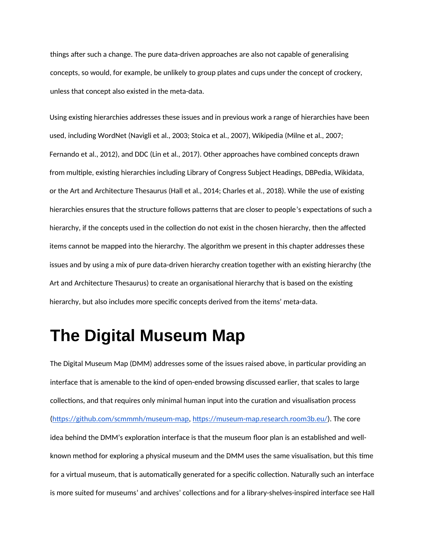things after such a change. The pure data-driven approaches are also not capable of generalising concepts, so would, for example, be unlikely to group plates and cups under the concept of crockery, unless that concept also existed in the meta-data.

Using existing hierarchies addresses these issues and in previous work a range of hierarchies have been used, including WordNet (Navigli et al., 2003; Stoica et al., 2007), Wikipedia (Milne et al., 2007; Fernando et al., 2012), and DDC (Lin et al., 2017). Other approaches have combined concepts drawn from multiple, existing hierarchies including Library of Congress Subject Headings, DBPedia, Wikidata, or the Art and Architecture Thesaurus (Hall et al., 2014; Charles et al., 2018). While the use of existing hierarchies ensures that the structure follows patterns that are closer to people's expectations of such a hierarchy, if the concepts used in the collection do not exist in the chosen hierarchy, then the affected items cannot be mapped into the hierarchy. The algorithm we present in this chapter addresses these issues and by using a mix of pure data-driven hierarchy creation together with an existing hierarchy (the Art and Architecture Thesaurus) to create an organisational hierarchy that is based on the existing hierarchy, but also includes more specific concepts derived from the items' meta-data.

## **The Digital Museum Map**

The Digital Museum Map (DMM) addresses some of the issues raised above, in particular providing an interface that is amenable to the kind of open-ended browsing discussed earlier, that scales to large collections, and that requires only minimal human input into the curation and visualisation process (https://github.com/scmmmh/museum-map, https://museum-map.research.room3b.eu/). The core idea behind the DMM's exploration interface is that the museum floor plan is an established and wellknown method for exploring a physical museum and the DMM uses the same visualisation, but this time for a virtual museum, that is automatically generated for a specific collection. Naturally such an interface is more suited for museums' and archives' collections and for a library-shelves-inspired interface see Hall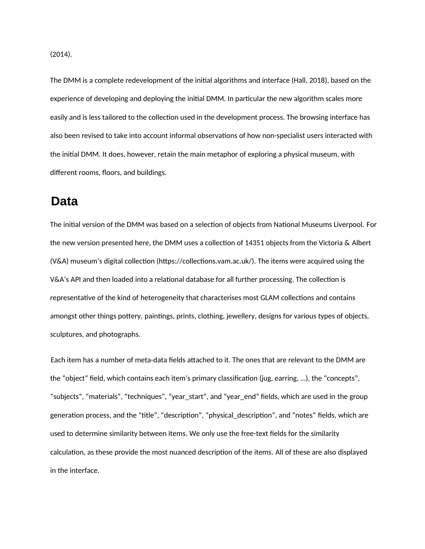The DMM is a complete redevelopment of the initial algorithms and interface (Hall, 2018), based on the experience of developing and deploying the initial DMM. In particular the new algorithm scales more easily and is less tailored to the collection used in the development process. The browsing interface has also been revised to take into account informal observations of how non-specialist users interacted with the initial DMM. It does, however, retain the main metaphor of exploring a physical museum, with different rooms, floors, and buildings.

### **Data**

The initial version of the DMM was based on a selection of objects from National Museums Liverpool. For the new version presented here, the DMM uses a collection of 14351 objects from the Victoria & Albert (V&A) museum's digital collection (https://collections.vam.ac.uk/). The items were acquired using the V&A's API and then loaded into a relational database for all further processing. The collection is representative of the kind of heterogeneity that characterises most GLAM collections and contains amongst other things pottery, paintings, prints, clothing, jewellery, designs for various types of objects, sculptures, and photographs.

Each item has a number of meta-data fields attached to it. The ones that are relevant to the DMM are the "object" field, which contains each item's primary classification (jug, earring, …), the "concepts", "subjects", "materials", "techniques", "year\_start", and "year\_end" fields, which are used in the group generation process, and the "title", "description", "physical\_description", and "notes" fields, which are used to determine similarity between items. We only use the free-text fields for the similarity calculation, as these provide the most nuanced description of the items. All of these are also displayed in the interface.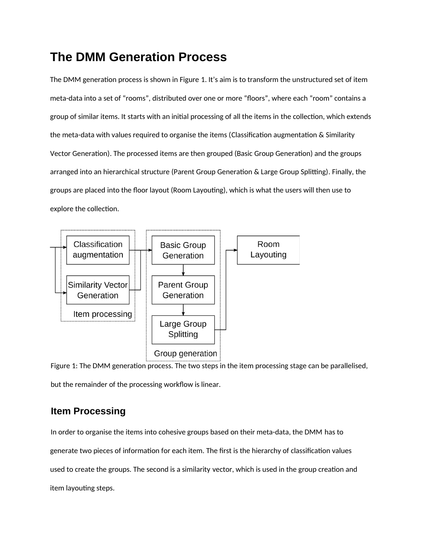### **The DMM Generation Process**

The DMM generation process is shown in Figure 1. It's aim is to transform the unstructured set of item meta-data into a set of "rooms", distributed over one or more "floors", where each "room" contains a group of similar items. It starts with an initial processing of all the items in the collection, which extends the meta-data with values required to organise the items (Classification augmentation & Similarity Vector Generation). The processed items are then grouped (Basic Group Generation) and the groups arranged into an hierarchical structure (Parent Group Generation & Large Group Splitting). Finally, the groups are placed into the floor layout (Room Layouting), which is what the users will then use to explore the collection.



Figure 1: The DMM generation process. The two steps in the item processing stage can be parallelised, but the remainder of the processing workflow is linear.

### **Item Processing**

In order to organise the items into cohesive groups based on their meta-data, the DMM has to generate two pieces of information for each item. The first is the hierarchy of classification values used to create the groups. The second is a similarity vector, which is used in the group creation and item layouting steps.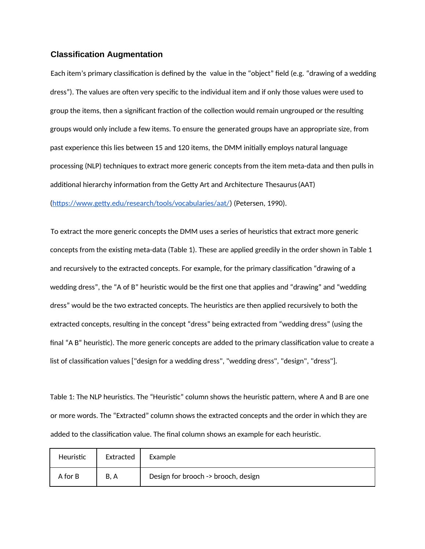#### **Classification Augmentation**

Each item's primary classification is defined by the value in the "object" field (e.g. "drawing of a wedding dress"). The values are often very specific to the individual item and if only those values were used to group the items, then a significant fraction of the collection would remain ungrouped or the resulting groups would only include a few items. To ensure the generated groups have an appropriate size, from past experience this lies between 15 and 120 items, the DMM initially employs natural language processing (NLP) techniques to extract more generic concepts from the item meta-data and then pulls in additional hierarchy information from the Getty Art and Architecture Thesaurus(AAT) (https://www.getty.edu/research/tools/vocabularies/aat/) (Petersen, 1990).

To extract the more generic concepts the DMM uses a series of heuristics that extract more generic concepts from the existing meta-data (Table 1). These are applied greedily in the order shown in Table 1 and recursively to the extracted concepts. For example, for the primary classification "drawing of a wedding dress", the "A of B" heuristic would be the first one that applies and "drawing" and "wedding dress" would be the two extracted concepts. The heuristics are then applied recursively to both the extracted concepts, resulting in the concept "dress" being extracted from "wedding dress" (using the final "A B" heuristic). The more generic concepts are added to the primary classification value to create a list of classification values ["design for a wedding dress", "wedding dress", "design", "dress"].

Table 1: The NLP heuristics. The "Heuristic" column shows the heuristic pattern, where A and B are one or more words. The "Extracted" column shows the extracted concepts and the order in which they are added to the classification value. The final column shows an example for each heuristic.

| Heuristic | Extracted | Example                             |
|-----------|-----------|-------------------------------------|
| A for B   | B, A      | Design for brooch -> brooch, design |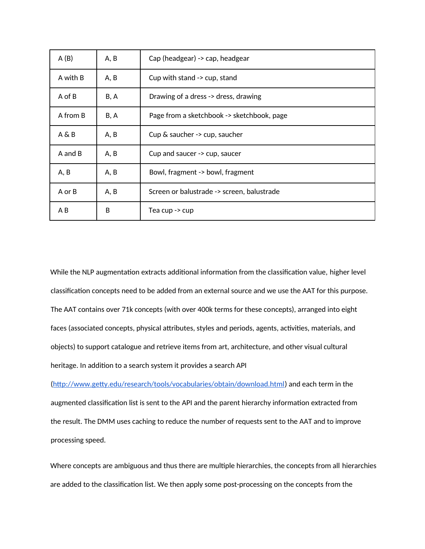| A(B)     | A, B | Cap (headgear) -> cap, headgear            |
|----------|------|--------------------------------------------|
| A with B | A, B | Cup with stand -> cup, stand               |
| A of B   | B, A | Drawing of a dress -> dress, drawing       |
| A from B | B, A | Page from a sketchbook -> sketchbook, page |
| A & B    | A, B | Cup & saucher -> cup, saucher              |
| A and B  | A, B | Cup and saucer -> cup, saucer              |
| A, B     | A, B | Bowl, fragment -> bowl, fragment           |
| A or B   | A, B | Screen or balustrade -> screen, balustrade |
| A B      | B    | Tea cup -> cup                             |

While the NLP augmentation extracts additional information from the classification value, higher level classification concepts need to be added from an external source and we use the AAT for this purpose. The AAT contains over 71k concepts (with over 400k terms for these concepts), arranged into eight faces (associated concepts, physical attributes, styles and periods, agents, activities, materials, and objects) to support catalogue and retrieve items from art, architecture, and other visual cultural heritage. In addition to a search system it provides a search API

(http://www.getty.edu/research/tools/vocabularies/obtain/download.html) and each term in the augmented classification list is sent to the API and the parent hierarchy information extracted from the result. The DMM uses caching to reduce the number of requests sent to the AAT and to improve processing speed.

Where concepts are ambiguous and thus there are multiple hierarchies, the concepts from all hierarchies are added to the classification list. We then apply some post-processing on the concepts from the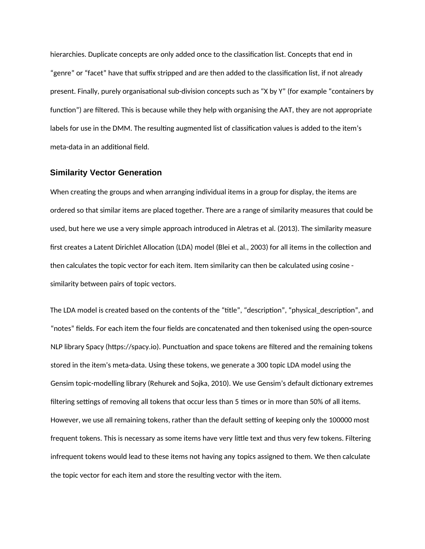hierarchies. Duplicate concepts are only added once to the classification list. Concepts that end in "genre" or "facet" have that suffix stripped and are then added to the classification list, if not already present. Finally, purely organisational sub-division concepts such as "X by Y" (for example "containers by function") are filtered. This is because while they help with organising the AAT, they are not appropriate labels for use in the DMM. The resulting augmented list of classification values is added to the item's meta-data in an additional field.

#### **Similarity Vector Generation**

When creating the groups and when arranging individual items in a group for display, the items are ordered so that similar items are placed together. There are a range of similarity measures that could be used, but here we use a very simple approach introduced in Aletras et al. (2013). The similarity measure first creates a Latent Dirichlet Allocation (LDA) model (Blei et al., 2003) for all items in the collection and then calculates the topic vector for each item. Item similarity can then be calculated using cosine similarity between pairs of topic vectors.

The LDA model is created based on the contents of the "title", "description", "physical\_description", and "notes" fields. For each item the four fields are concatenated and then tokenised using the open-source NLP library Spacy (https://spacy.io). Punctuation and space tokens are filtered and the remaining tokens stored in the item's meta-data. Using these tokens, we generate a 300 topic LDA model using the Gensim topic-modelling library (Rehurek and Sojka, 2010). We use Gensim's default dictionary extremes filtering settings of removing all tokens that occur less than 5 times or in more than 50% of all items. However, we use all remaining tokens, rather than the default setting of keeping only the 100000 most frequent tokens. This is necessary as some items have very little text and thus very few tokens. Filtering infrequent tokens would lead to these items not having any topics assigned to them. We then calculate the topic vector for each item and store the resulting vector with the item.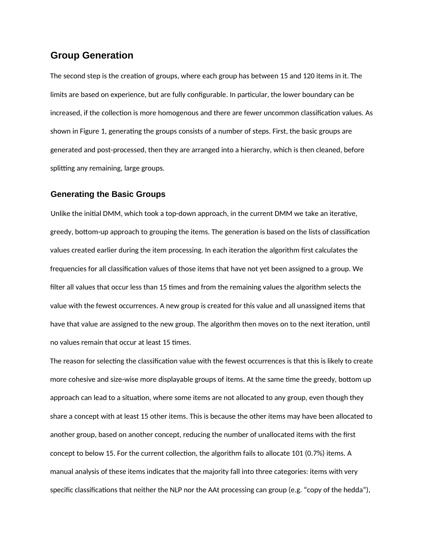#### **Group Generation**

The second step is the creation of groups, where each group has between 15 and 120 items in it. The limits are based on experience, but are fully configurable. In particular, the lower boundary can be increased, if the collection is more homogenous and there are fewer uncommon classification values. As shown in Figure 1, generating the groups consists of a number of steps. First, the basic groups are generated and post-processed, then they are arranged into a hierarchy, which is then cleaned, before splitting any remaining, large groups.

#### **Generating the Basic Groups**

Unlike the initial DMM, which took a top-down approach, in the current DMM we take an iterative, greedy, bottom-up approach to grouping the items. The generation is based on the lists of classification values created earlier during the item processing. In each iteration the algorithm first calculates the frequencies for all classification values of those items that have not yet been assigned to a group. We filter all values that occur less than 15 times and from the remaining values the algorithm selects the value with the fewest occurrences. A new group is created for this value and all unassigned items that have that value are assigned to the new group. The algorithm then moves on to the next iteration, until no values remain that occur at least 15 times.

The reason for selecting the classification value with the fewest occurrences is that this is likely to create more cohesive and size-wise more displayable groups of items. At the same time the greedy, bottom up approach can lead to a situation, where some items are not allocated to any group, even though they share a concept with at least 15 other items. This is because the other items may have been allocated to another group, based on another concept, reducing the number of unallocated items with the first concept to below 15. For the current collection, the algorithm fails to allocate 101 (0.7%) items. A manual analysis of these items indicates that the majority fall into three categories: items with very specific classifications that neither the NLP nor the AAt processing can group (e.g. "copy of the hedda"),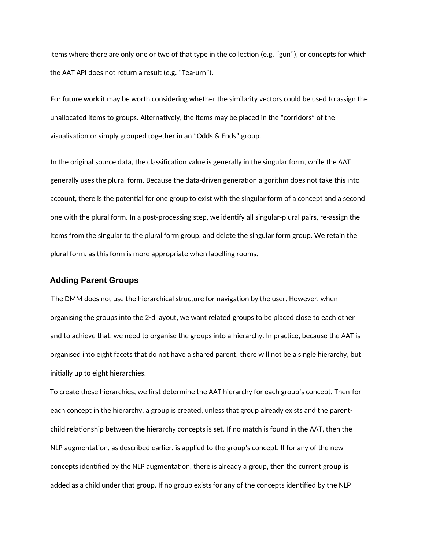items where there are only one or two of that type in the collection (e.g. "gun"), or concepts for which the AAT API does not return a result (e.g. "Tea-urn").

For future work it may be worth considering whether the similarity vectors could be used to assign the unallocated items to groups. Alternatively, the items may be placed in the "corridors" of the visualisation or simply grouped together in an "Odds & Ends" group.

In the original source data, the classification value is generally in the singular form, while the AAT generally uses the plural form. Because the data-driven generation algorithm does not take this into account, there is the potential for one group to exist with the singular form of a concept and a second one with the plural form. In a post-processing step, we identify all singular-plural pairs, re-assign the items from the singular to the plural form group, and delete the singular form group. We retain the plural form, as this form is more appropriate when labelling rooms.

#### **Adding Parent Groups**

The DMM does not use the hierarchical structure for navigation by the user. However, when organising the groups into the 2-d layout, we want related groups to be placed close to each other and to achieve that, we need to organise the groups into a hierarchy. In practice, because the AAT is organised into eight facets that do not have a shared parent, there will not be a single hierarchy, but initially up to eight hierarchies.

To create these hierarchies, we first determine the AAT hierarchy for each group's concept. Then for each concept in the hierarchy, a group is created, unless that group already exists and the parentchild relationship between the hierarchy concepts is set. If no match is found in the AAT, then the NLP augmentation, as described earlier, is applied to the group's concept. If for any of the new concepts identified by the NLP augmentation, there is already a group, then the current group is added as a child under that group. If no group exists for any of the concepts identified by the NLP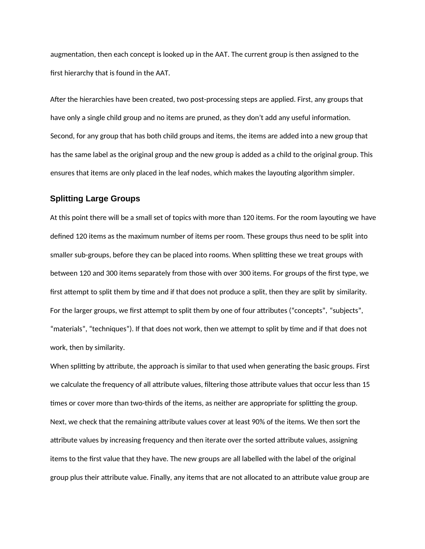augmentation, then each concept is looked up in the AAT. The current group is then assigned to the first hierarchy that is found in the AAT.

After the hierarchies have been created, two post-processing steps are applied. First, any groups that have only a single child group and no items are pruned, as they don't add any useful information. Second, for any group that has both child groups and items, the items are added into a new group that has the same label as the original group and the new group is added as a child to the original group. This ensures that items are only placed in the leaf nodes, which makes the layouting algorithm simpler.

#### **Splitting Large Groups**

At this point there will be a small set of topics with more than 120 items. For the room layouting we have defined 120 items as the maximum number of items per room. These groups thus need to be split into smaller sub-groups, before they can be placed into rooms. When splitting these we treat groups with between 120 and 300 items separately from those with over 300 items. For groups of the first type, we first attempt to split them by time and if that does not produce a split, then they are split by similarity. For the larger groups, we first attempt to split them by one of four attributes ("concepts", "subjects", "materials", "techniques"). If that does not work, then we attempt to split by time and if that does not work, then by similarity.

When splitting by attribute, the approach is similar to that used when generating the basic groups. First we calculate the frequency of all attribute values, filtering those attribute values that occur less than 15 times or cover more than two-thirds of the items, as neither are appropriate for splitting the group. Next, we check that the remaining attribute values cover at least 90% of the items. We then sort the attribute values by increasing frequency and then iterate over the sorted attribute values, assigning items to the first value that they have. The new groups are all labelled with the label of the original group plus their attribute value. Finally, any items that are not allocated to an attribute value group are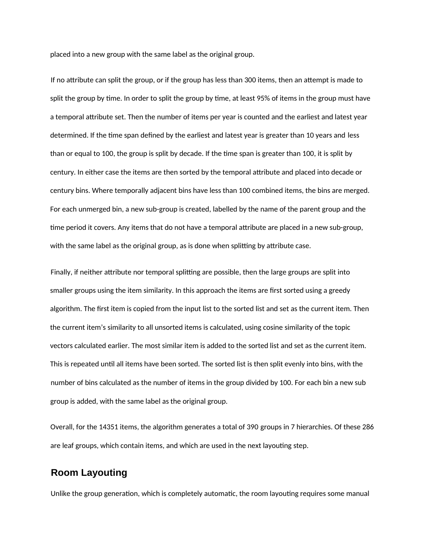placed into a new group with the same label as the original group.

If no attribute can split the group, or if the group has less than 300 items, then an attempt is made to split the group by time. In order to split the group by time, at least 95% of items in the group must have a temporal attribute set. Then the number of items per year is counted and the earliest and latest year determined. If the time span defined by the earliest and latest year is greater than 10 years and less than or equal to 100, the group is split by decade. If the time span is greater than 100, it is split by century. In either case the items are then sorted by the temporal attribute and placed into decade or century bins. Where temporally adjacent bins have less than 100 combined items, the bins are merged. For each unmerged bin, a new sub-group is created, labelled by the name of the parent group and the time period it covers. Any items that do not have a temporal attribute are placed in a new sub-group, with the same label as the original group, as is done when splitting by attribute case.

Finally, if neither attribute nor temporal splitting are possible, then the large groups are split into smaller groups using the item similarity. In this approach the items are first sorted using a greedy algorithm. The first item is copied from the input list to the sorted list and set as the current item. Then the current item's similarity to all unsorted items is calculated, using cosine similarity of the topic vectors calculated earlier. The most similar item is added to the sorted list and set as the current item. This is repeated until all items have been sorted. The sorted list is then split evenly into bins, with the number of bins calculated as the number of items in the group divided by 100. For each bin a new sub group is added, with the same label as the original group.

Overall, for the 14351 items, the algorithm generates a total of 390 groups in 7 hierarchies. Of these 286 are leaf groups, which contain items, and which are used in the next layouting step.

### **Room Layouting**

Unlike the group generation, which is completely automatic, the room layouting requires some manual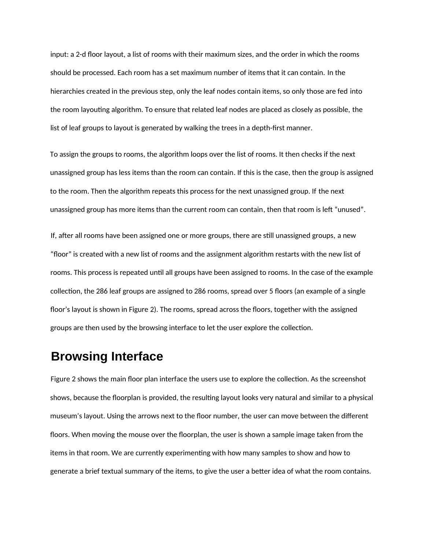input: a 2-d floor layout, a list of rooms with their maximum sizes, and the order in which the rooms should be processed. Each room has a set maximum number of items that it can contain. In the hierarchies created in the previous step, only the leaf nodes contain items, so only those are fed into the room layouting algorithm. To ensure that related leaf nodes are placed as closely as possible, the list of leaf groups to layout is generated by walking the trees in a depth-first manner.

To assign the groups to rooms, the algorithm loops over the list of rooms. It then checks if the next unassigned group has less items than the room can contain. If this is the case, then the group is assigned to the room. Then the algorithm repeats this process for the next unassigned group. If the next unassigned group has more items than the current room can contain, then that room is left "unused".

If, after all rooms have been assigned one or more groups, there are still unassigned groups, a new "floor" is created with a new list of rooms and the assignment algorithm restarts with the new list of rooms. This process is repeated until all groups have been assigned to rooms. In the case of the example collection, the 286 leaf groups are assigned to 286 rooms, spread over 5 floors (an example of a single floor's layout is shown in Figure 2). The rooms, spread across the floors, together with the assigned groups are then used by the browsing interface to let the user explore the collection.

### **Browsing Interface**

Figure 2 shows the main floor plan interface the users use to explore the collection. As the screenshot shows, because the floorplan is provided, the resulting layout looks very natural and similar to a physical museum's layout. Using the arrows next to the floor number, the user can move between the different floors. When moving the mouse over the floorplan, the user is shown a sample image taken from the items in that room. We are currently experimenting with how many samples to show and how to generate a brief textual summary of the items, to give the user a better idea of what the room contains.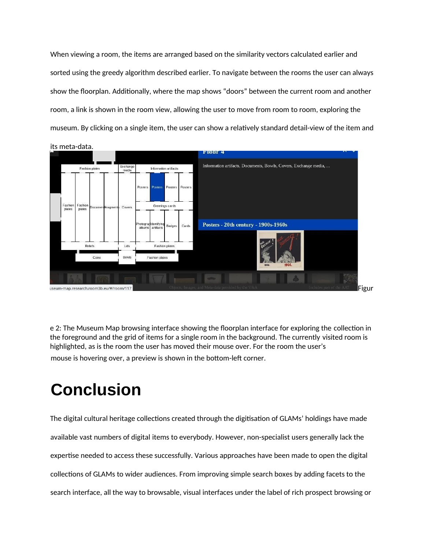When viewing a room, the items are arranged based on the similarity vectors calculated earlier and sorted using the greedy algorithm described earlier. To navigate between the rooms the user can always show the floorplan. Additionally, where the map shows "doors" between the current room and another room, a link is shown in the room view, allowing the user to move from room to room, exploring the museum. By clicking on a single item, the user can show a relatively standard detail-view of the item and



e 2: The Museum Map browsing interface showing the floorplan interface for exploring the collection in the foreground and the grid of items for a single room in the background. The currently visited room is highlighted, as is the room the user has moved their mouse over. For the room the user's

mouse is hovering over, a preview is shown in the bottom-left corner.

# **Conclusion**

The digital cultural heritage collections created through the digitisation of GLAMs' holdings have made available vast numbers of digital items to everybody. However, non-specialist users generally lack the expertise needed to access these successfully. Various approaches have been made to open the digital collections of GLAMs to wider audiences. From improving simple search boxes by adding facets to the search interface, all the way to browsable, visual interfaces under the label of rich prospect browsing or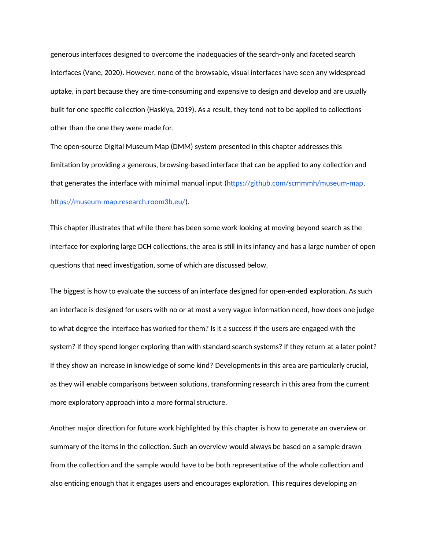generous interfaces designed to overcome the inadequacies of the search-only and faceted search interfaces (Vane, 2020). However, none of the browsable, visual interfaces have seen any widespread uptake, in part because they are time-consuming and expensive to design and develop and are usually built for one specific collection (Haskiya, 2019). As a result, they tend not to be applied to collections other than the one they were made for.

The open-source Digital Museum Map (DMM) system presented in this chapter addresses this limitation by providing a generous, browsing-based interface that can be applied to any collection and that generates the interface with minimal manual input (https://github.com/scmmmh/museum-map, https://museum-map.research.room3b.eu/).

This chapter illustrates that while there has been some work looking at moving beyond search as the interface for exploring large DCH collections, the area is still in its infancy and has a large number of open questions that need investigation, some of which are discussed below.

The biggest is how to evaluate the success of an interface designed for open-ended exploration. As such an interface is designed for users with no or at most a very vague information need, how does one judge to what degree the interface has worked for them? Is it a success if the users are engaged with the system? If they spend longer exploring than with standard search systems? If they return at a later point? If they show an increase in knowledge of some kind? Developments in this area are particularly crucial, as they will enable comparisons between solutions, transforming research in this area from the current more exploratory approach into a more formal structure.

Another major direction for future work highlighted by this chapter is how to generate an overview or summary of the items in the collection. Such an overview would always be based on a sample drawn from the collection and the sample would have to be both representative of the whole collection and also enticing enough that it engages users and encourages exploration. This requires developing an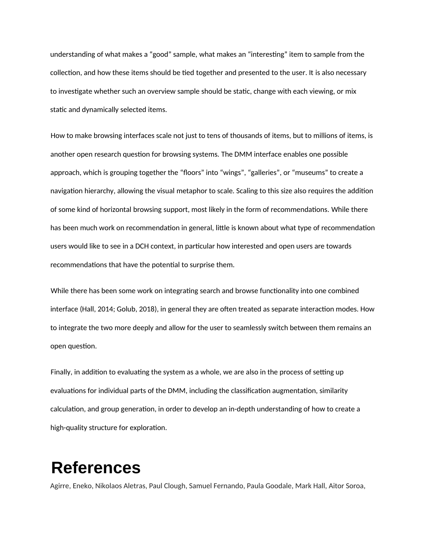understanding of what makes a "good" sample, what makes an "interesting" item to sample from the collection, and how these items should be tied together and presented to the user. It is also necessary to investigate whether such an overview sample should be static, change with each viewing, or mix static and dynamically selected items.

How to make browsing interfaces scale not just to tens of thousands of items, but to millions of items, is another open research question for browsing systems. The DMM interface enables one possible approach, which is grouping together the "floors" into "wings", "galleries", or "museums" to create a navigation hierarchy, allowing the visual metaphor to scale. Scaling to this size also requires the addition of some kind of horizontal browsing support, most likely in the form of recommendations. While there has been much work on recommendation in general, little is known about what type of recommendation users would like to see in a DCH context, in particular how interested and open users are towards recommendations that have the potential to surprise them.

While there has been some work on integrating search and browse functionality into one combined interface (Hall, 2014; Golub, 2018), in general they are often treated as separate interaction modes. How to integrate the two more deeply and allow for the user to seamlessly switch between them remains an open question.

Finally, in addition to evaluating the system as a whole, we are also in the process of setting up evaluations for individual parts of the DMM, including the classification augmentation, similarity calculation, and group generation, in order to develop an in-depth understanding of how to create a high-quality structure for exploration.

# **References**

Agirre, Eneko, Nikolaos Aletras, Paul Clough, Samuel Fernando, Paula Goodale, Mark Hall, Aitor Soroa,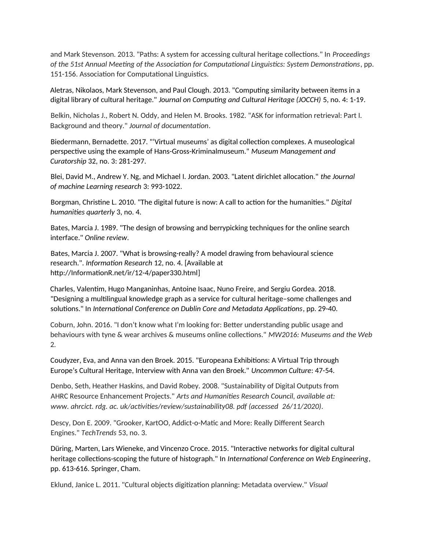and Mark Stevenson. 2013. "Paths: A system for accessing cultural heritage collections." In *Proceedings of the 51st Annual Meeting of the Association for Computational Linguistics: System Demonstrations*, pp. 151-156. Association for Computational Linguistics.

Aletras, Nikolaos, Mark Stevenson, and Paul Clough. 2013. "Computing similarity between items in a digital library of cultural heritage." *Journal on Computing and Cultural Heritage (JOCCH)* 5, no. 4: 1-19.

Belkin, Nicholas J., Robert N. Oddy, and Helen M. Brooks. 1982. "ASK for information retrieval: Part I. Background and theory." *Journal of documentation*.

Biedermann, Bernadette. 2017. "'Virtual museums' as digital collection complexes. A museological perspective using the example of Hans-Gross-Kriminalmuseum." *Museum Management and Curatorship* 32, no. 3: 281-297.

Blei, David M., Andrew Y. Ng, and Michael I. Jordan. 2003. "Latent dirichlet allocation." *the Journal of machine Learning research* 3: 993-1022.

Borgman, Christine L. 2010. "The digital future is now: A call to action for the humanities." *Digital humanities quarterly* 3, no. 4.

Bates, Marcia J. 1989. "The design of browsing and berrypicking techniques for the online search interface." *Online review*.

Bates, Marcia J. 2007. "What is browsing-really? A model drawing from behavioural science research.". *Information Research* 12, no. 4. [Available at http://InformationR.net/ir/12-4/paper330.html]

Charles, Valentim, Hugo Manganinhas, Antoine Isaac, Nuno Freire, and Sergiu Gordea. 2018. "Designing a multilingual knowledge graph as a service for cultural heritage–some challenges and solutions." In *International Conference on Dublin Core and Metadata Applications*, pp. 29-40.

Coburn, John. 2016. "I don't know what I'm looking for: Better understanding public usage and behaviours with tyne & wear archives & museums online collections." *MW2016: Museums and the Web* 2.

Coudyzer, Eva, and Anna van den Broek. 2015. "Europeana Exhibitions: A Virtual Trip through Europe's Cultural Heritage, Interview with Anna van den Broek." *Uncommon Culture*: 47-54.

Denbo, Seth, Heather Haskins, and David Robey. 2008. "Sustainability of Digital Outputs from AHRC Resource Enhancement Projects." *Arts and Humanities Research Council, available at: www. ahrcict. rdg. ac. uk/activities/review/sustainability08. pdf (accessed 26/11/2020)*.

Descy, Don E. 2009. "Grooker, KartOO, Addict-o-Matic and More: Really Different Search Engines." *TechTrends* 53, no. 3.

Düring, Marten, Lars Wieneke, and Vincenzo Croce. 2015. "Interactive networks for digital cultural heritage collections-scoping the future of histograph." In *International Conference on Web Engineering*, pp. 613-616. Springer, Cham.

Eklund, Janice L. 2011. "Cultural objects digitization planning: Metadata overview." *Visual*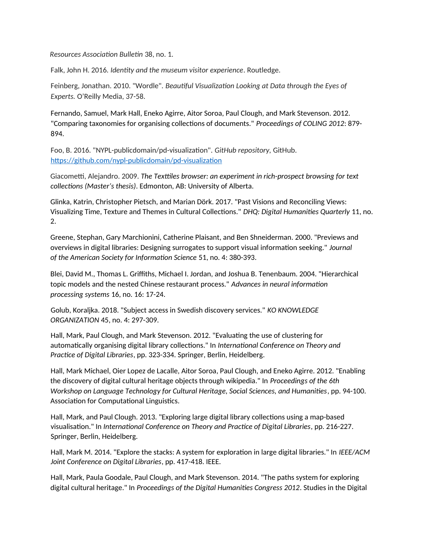*Resources Association Bulletin* 38, no. 1.

Falk, John H. 2016. *Identity and the museum visitor experience*. Routledge.

Feinberg, Jonathan. 2010. "Wordle". *Beautiful Visualization Looking at Data through the Eyes of Experts.* O'Reilly Media, 37-58.

Fernando, Samuel, Mark Hall, Eneko Agirre, Aitor Soroa, Paul Clough, and Mark Stevenson. 2012. "Comparing taxonomies for organising collections of documents." *Proceedings of COLING 2012*: 879- 894.

Foo, B. 2016. "NYPL-publicdomain/pd-visualization". *GitHub repository,* GitHub. https://github.com/nypl-publicdomain/pd-visualization

Giacometti, Alejandro. 2009. *The Texttiles browser: an experiment in rich-prospect browsing for text collections (Master's thesis)*. Edmonton, AB: University of Alberta.

Glinka, Katrin, Christopher Pietsch, and Marian Dörk. 2017. "Past Visions and Reconciling Views: Visualizing Time, Texture and Themes in Cultural Collections." *DHQ: Digital Humanities Quarterly* 11, no. 2.

Greene, Stephan, Gary Marchionini, Catherine Plaisant, and Ben Shneiderman. 2000. "Previews and overviews in digital libraries: Designing surrogates to support visual information seeking." *Journal of the American Society for Information Science* 51, no. 4: 380-393.

Blei, David M., Thomas L. Griffiths, Michael I. Jordan, and Joshua B. Tenenbaum. 2004. "Hierarchical topic models and the nested Chinese restaurant process." *Advances in neural information processing systems* 16, no. 16: 17-24.

Golub, Koraljka. 2018. "Subject access in Swedish discovery services." *KO KNOWLEDGE ORGANIZATION* 45, no. 4: 297-309.

Hall, Mark, Paul Clough, and Mark Stevenson. 2012. "Evaluating the use of clustering for automatically organising digital library collections." In *International Conference on Theory and Practice of Digital Libraries*, pp. 323-334. Springer, Berlin, Heidelberg.

Hall, Mark Michael, Oier Lopez de Lacalle, Aitor Soroa, Paul Clough, and Eneko Agirre. 2012. "Enabling the discovery of digital cultural heritage objects through wikipedia." In *Proceedings of the 6th Workshop on Language Technology for Cultural Heritage, Social Sciences, and Humanities*, pp. 94-100. Association for Computational Linguistics.

Hall, Mark, and Paul Clough. 2013. "Exploring large digital library collections using a map-based visualisation." In *International Conference on Theory and Practice of Digital Libraries*, pp. 216-227. Springer, Berlin, Heidelberg.

Hall, Mark M. 2014. "Explore the stacks: A system for exploration in large digital libraries." In *IEEE/ACM Joint Conference on Digital Libraries*, pp. 417-418. IEEE.

Hall, Mark, Paula Goodale, Paul Clough, and Mark Stevenson. 2014. "The paths system for exploring digital cultural heritage." In *Proceedings of the Digital Humanities Congress 2012*. Studies in the Digital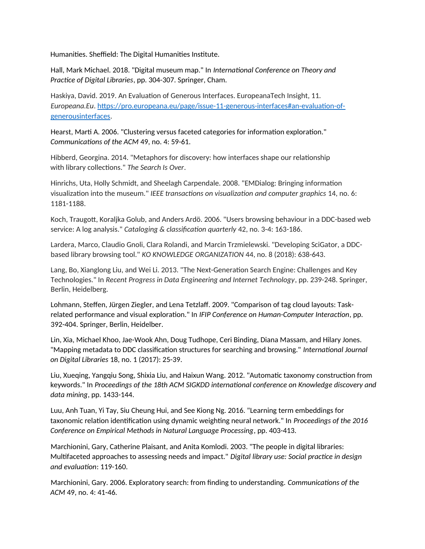Humanities. Sheffield: The Digital Humanities Institute.

Hall, Mark Michael. 2018. "Digital museum map." In *International Conference on Theory and Practice of Digital Libraries*, pp. 304-307. Springer, Cham.

Haskiya, David. 2019. An Evaluation of Generous Interfaces. EuropeanaTech Insight, 11. *Europeana.Eu*. https://pro.europeana.eu/page/issue-11-generous-interfaces#an-evaluation-ofgenerousinterfaces.

Hearst, Marti A. 2006. "Clustering versus faceted categories for information exploration." *Communications of the ACM* 49, no. 4: 59-61.

Hibberd, Georgina. 2014. "Metaphors for discovery: how interfaces shape our relationship with library collections." *The Search Is Over*.

Hinrichs, Uta, Holly Schmidt, and Sheelagh Carpendale. 2008. "EMDialog: Bringing information visualization into the museum." *IEEE transactions on visualization and computer graphics* 14, no. 6: 1181-1188.

Koch, Traugott, Koraljka Golub, and Anders Ardö. 2006. "Users browsing behaviour in a DDC-based web service: A log analysis." *Cataloging & classification quarterly* 42, no. 3-4: 163-186.

Lardera, Marco, Claudio Gnoli, Clara Rolandi, and Marcin Trzmielewski. "Developing SciGator, a DDCbased library browsing tool." *KO KNOWLEDGE ORGANIZATION* 44, no. 8 (2018): 638-643.

Lang, Bo, Xianglong Liu, and Wei Li. 2013. "The Next-Generation Search Engine: Challenges and Key Technologies." In *Recent Progress in Data Engineering and Internet Technology*, pp. 239-248. Springer, Berlin, Heidelberg.

Lohmann, Steffen, Jürgen Ziegler, and Lena Tetzlaff. 2009. "Comparison of tag cloud layouts: Taskrelated performance and visual exploration." In *IFIP Conference on Human-Computer Interaction*, pp. 392-404. Springer, Berlin, Heidelber.

Lin, Xia, Michael Khoo, Jae-Wook Ahn, Doug Tudhope, Ceri Binding, Diana Massam, and Hilary Jones. "Mapping metadata to DDC classification structures for searching and browsing." *International Journal on Digital Libraries* 18, no. 1 (2017): 25-39.

Liu, Xueqing, Yangqiu Song, Shixia Liu, and Haixun Wang. 2012. "Automatic taxonomy construction from keywords." In *Proceedings of the 18th ACM SIGKDD international conference on Knowledge discovery and data mining*, pp. 1433-144.

Luu, Anh Tuan, Yi Tay, Siu Cheung Hui, and See Kiong Ng. 2016. "Learning term embeddings for taxonomic relation identification using dynamic weighting neural network." In *Proceedings of the 2016 Conference on Empirical Methods in Natural Language Processing*, pp. 403-413.

Marchionini, Gary, Catherine Plaisant, and Anita Komlodi. 2003. "The people in digital libraries: Multifaceted approaches to assessing needs and impact." *Digital library use: Social practice in design and evaluation*: 119-160.

Marchionini, Gary. 2006. Exploratory search: from finding to understanding. *Communications of the ACM* 49, no. 4: 41-46.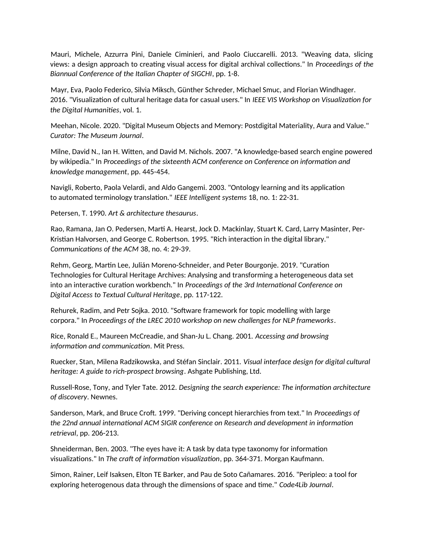Mauri, Michele, Azzurra Pini, Daniele Ciminieri, and Paolo Ciuccarelli. 2013. "Weaving data, slicing views: a design approach to creating visual access for digital archival collections." In *Proceedings of the Biannual Conference of the Italian Chapter of SIGCHI*, pp. 1-8.

Mayr, Eva, Paolo Federico, Silvia Miksch, Günther Schreder, Michael Smuc, and Florian Windhager. 2016. "Visualization of cultural heritage data for casual users." In *IEEE VIS Workshop on Visualization for the Digital Humanities*, vol. 1.

Meehan, Nicole. 2020. "Digital Museum Objects and Memory: Postdigital Materiality, Aura and Value." *Curator: The Museum Journal*.

Milne, David N., Ian H. Witten, and David M. Nichols. 2007. "A knowledge-based search engine powered by wikipedia." In *Proceedings of the sixteenth ACM conference on Conference on information and knowledge management*, pp. 445-454.

Navigli, Roberto, Paola Velardi, and Aldo Gangemi. 2003. "Ontology learning and its application to automated terminology translation." *IEEE Intelligent systems* 18, no. 1: 22-31.

Petersen, T. 1990. *Art & architecture thesaurus*.

Rao, Ramana, Jan O. Pedersen, Marti A. Hearst, Jock D. Mackinlay, Stuart K. Card, Larry Masinter, Per-Kristian Halvorsen, and George C. Robertson. 1995. "Rich interaction in the digital library." *Communications of the ACM* 38, no. 4: 29-39.

Rehm, Georg, Martin Lee, Julián Moreno-Schneider, and Peter Bourgonje. 2019. "Curation Technologies for Cultural Heritage Archives: Analysing and transforming a heterogeneous data set into an interactive curation workbench." In *Proceedings of the 3rd International Conference on Digital Access to Textual Cultural Heritage*, pp. 117-122.

Rehurek, Radim, and Petr Sojka. 2010. "Software framework for topic modelling with large corpora." In *Proceedings of the LREC 2010 workshop on new challenges for NLP frameworks*.

Rice, Ronald E., Maureen McCreadie, and Shan-Ju L. Chang. 2001. *Accessing and browsing information and communication*. Mit Press.

Ruecker, Stan, Milena Radzikowska, and Stéfan Sinclair. 2011. *Visual interface design for digital cultural heritage: A guide to rich-prospect browsing*. Ashgate Publishing, Ltd.

Russell-Rose, Tony, and Tyler Tate. 2012. *Designing the search experience: The information architecture of discovery*. Newnes.

Sanderson, Mark, and Bruce Croft. 1999. "Deriving concept hierarchies from text." In *Proceedings of the 22nd annual international ACM SIGIR conference on Research and development in information retrieval*, pp. 206-213.

Shneiderman, Ben. 2003. "The eyes have it: A task by data type taxonomy for information visualizations." In *The craft of information visualization*, pp. 364-371. Morgan Kaufmann.

Simon, Rainer, Leif Isaksen, Elton TE Barker, and Pau de Soto Cañamares. 2016. "Peripleo: a tool for exploring heterogenous data through the dimensions of space and time." *Code4Lib Journal*.